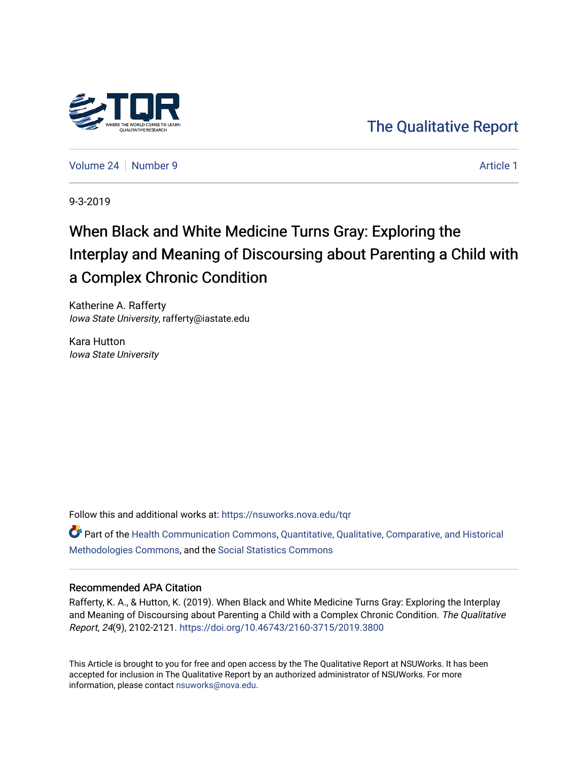

[The Qualitative Report](https://nsuworks.nova.edu/tqr) 

[Volume 24](https://nsuworks.nova.edu/tqr/vol24) [Number 9](https://nsuworks.nova.edu/tqr/vol24/iss9) [Article 1](https://nsuworks.nova.edu/tqr/vol24/iss9/1) Article 1

9-3-2019

# When Black and White Medicine Turns Gray: Exploring the Interplay and Meaning of Discoursing about Parenting a Child with a Complex Chronic Condition

Katherine A. Rafferty Iowa State University, rafferty@iastate.edu

Kara Hutton Iowa State University

Follow this and additional works at: [https://nsuworks.nova.edu/tqr](https://nsuworks.nova.edu/tqr?utm_source=nsuworks.nova.edu%2Ftqr%2Fvol24%2Fiss9%2F1&utm_medium=PDF&utm_campaign=PDFCoverPages) 

Part of the [Health Communication Commons](http://network.bepress.com/hgg/discipline/330?utm_source=nsuworks.nova.edu%2Ftqr%2Fvol24%2Fiss9%2F1&utm_medium=PDF&utm_campaign=PDFCoverPages), Quantitative, Qualitative, Comparative, and Historical [Methodologies Commons](http://network.bepress.com/hgg/discipline/423?utm_source=nsuworks.nova.edu%2Ftqr%2Fvol24%2Fiss9%2F1&utm_medium=PDF&utm_campaign=PDFCoverPages), and the [Social Statistics Commons](http://network.bepress.com/hgg/discipline/1275?utm_source=nsuworks.nova.edu%2Ftqr%2Fvol24%2Fiss9%2F1&utm_medium=PDF&utm_campaign=PDFCoverPages) 

# Recommended APA Citation

Rafferty, K. A., & Hutton, K. (2019). When Black and White Medicine Turns Gray: Exploring the Interplay and Meaning of Discoursing about Parenting a Child with a Complex Chronic Condition. The Qualitative Report, 24(9), 2102-2121. <https://doi.org/10.46743/2160-3715/2019.3800>

This Article is brought to you for free and open access by the The Qualitative Report at NSUWorks. It has been accepted for inclusion in The Qualitative Report by an authorized administrator of NSUWorks. For more information, please contact [nsuworks@nova.edu.](mailto:nsuworks@nova.edu)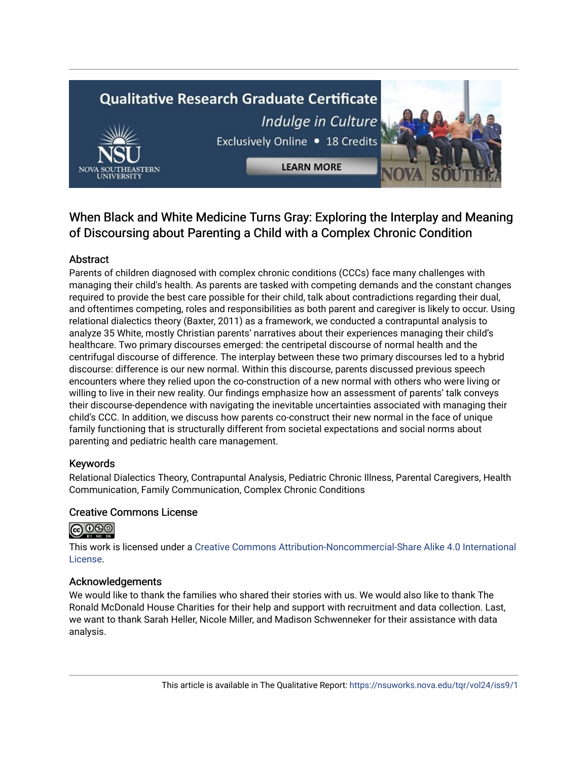# **Qualitative Research Graduate Certificate** Indulge in Culture Exclusively Online . 18 Credits

**LEARN MORE** 

# When Black and White Medicine Turns Gray: Exploring the Interplay and Meaning of Discoursing about Parenting a Child with a Complex Chronic Condition

# Abstract

Parents of children diagnosed with complex chronic conditions (CCCs) face many challenges with managing their child's health. As parents are tasked with competing demands and the constant changes required to provide the best care possible for their child, talk about contradictions regarding their dual, and oftentimes competing, roles and responsibilities as both parent and caregiver is likely to occur. Using relational dialectics theory (Baxter, 2011) as a framework, we conducted a contrapuntal analysis to analyze 35 White, mostly Christian parents' narratives about their experiences managing their child's healthcare. Two primary discourses emerged: the centripetal discourse of normal health and the centrifugal discourse of difference. The interplay between these two primary discourses led to a hybrid discourse: difference is our new normal. Within this discourse, parents discussed previous speech encounters where they relied upon the co-construction of a new normal with others who were living or willing to live in their new reality. Our findings emphasize how an assessment of parents' talk conveys their discourse-dependence with navigating the inevitable uncertainties associated with managing their child's CCC. In addition, we discuss how parents co-construct their new normal in the face of unique family functioning that is structurally different from societal expectations and social norms about parenting and pediatric health care management.

# Keywords

Relational Dialectics Theory, Contrapuntal Analysis, Pediatric Chronic Illness, Parental Caregivers, Health Communication, Family Communication, Complex Chronic Conditions

# Creative Commons License



This work is licensed under a [Creative Commons Attribution-Noncommercial-Share Alike 4.0 International](https://creativecommons.org/licenses/by-nc-sa/4.0/)  [License](https://creativecommons.org/licenses/by-nc-sa/4.0/).

# Acknowledgements

We would like to thank the families who shared their stories with us. We would also like to thank The Ronald McDonald House Charities for their help and support with recruitment and data collection. Last, we want to thank Sarah Heller, Nicole Miller, and Madison Schwenneker for their assistance with data analysis.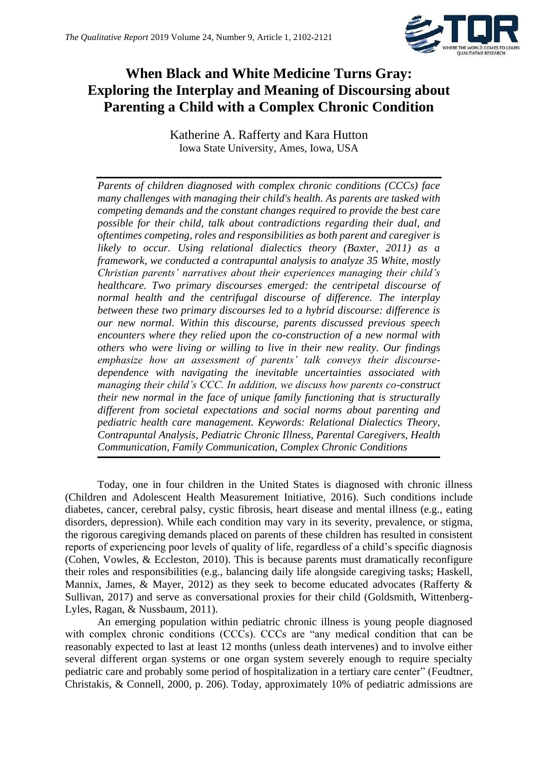

# **When Black and White Medicine Turns Gray: Exploring the Interplay and Meaning of Discoursing about Parenting a Child with a Complex Chronic Condition**

Katherine A. Rafferty and Kara Hutton Iowa State University, Ames, Iowa, USA

*Parents of children diagnosed with complex chronic conditions (CCCs) face many challenges with managing their child's health. As parents are tasked with competing demands and the constant changes required to provide the best care possible for their child, talk about contradictions regarding their dual, and oftentimes competing, roles and responsibilities as both parent and caregiver is likely to occur. Using relational dialectics theory (Baxter, 2011) as a framework, we conducted a contrapuntal analysis to analyze 35 White, mostly Christian parents' narratives about their experiences managing their child's healthcare. Two primary discourses emerged: the centripetal discourse of normal health and the centrifugal discourse of difference. The interplay between these two primary discourses led to a hybrid discourse: difference is our new normal. Within this discourse, parents discussed previous speech encounters where they relied upon the co-construction of a new normal with others who were living or willing to live in their new reality. Our findings emphasize how an assessment of parents' talk conveys their discoursedependence with navigating the inevitable uncertainties associated with managing their child's CCC. In addition, we discuss how parents co-construct their new normal in the face of unique family functioning that is structurally different from societal expectations and social norms about parenting and pediatric health care management. Keywords: Relational Dialectics Theory, Contrapuntal Analysis, Pediatric Chronic Illness, Parental Caregivers, Health Communication, Family Communication, Complex Chronic Conditions*

Today, one in four children in the United States is diagnosed with chronic illness (Children and Adolescent Health Measurement Initiative, 2016). Such conditions include diabetes, cancer, cerebral palsy, cystic fibrosis, heart disease and mental illness (e.g., eating disorders, depression). While each condition may vary in its severity, prevalence, or stigma, the rigorous caregiving demands placed on parents of these children has resulted in consistent reports of experiencing poor levels of quality of life, regardless of a child's specific diagnosis (Cohen, Vowles, & Eccleston, 2010). This is because parents must dramatically reconfigure their roles and responsibilities (e.g., balancing daily life alongside caregiving tasks; Haskell, Mannix, James, & Mayer, 2012) as they seek to become educated advocates (Rafferty & Sullivan, 2017) and serve as conversational proxies for their child (Goldsmith, Wittenberg-Lyles, Ragan, & Nussbaum, 2011).

An emerging population within pediatric chronic illness is young people diagnosed with complex chronic conditions (CCCs). CCCs are "any medical condition that can be reasonably expected to last at least 12 months (unless death intervenes) and to involve either several different organ systems or one organ system severely enough to require specialty pediatric care and probably some period of hospitalization in a tertiary care center" (Feudtner, Christakis, & Connell, 2000, p. 206). Today, approximately 10% of pediatric admissions are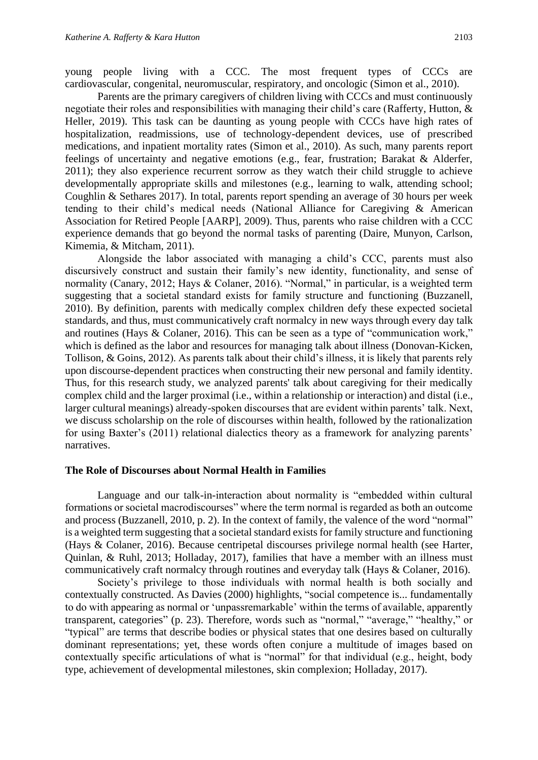young people living with a CCC. The most frequent types of CCCs are cardiovascular, congenital, neuromuscular, respiratory, and oncologic (Simon et al., 2010).

Parents are the primary caregivers of children living with CCCs and must continuously negotiate their roles and responsibilities with managing their child's care (Rafferty, Hutton, & Heller, 2019). This task can be daunting as young people with CCCs have high rates of hospitalization, readmissions, use of technology-dependent devices, use of prescribed medications, and inpatient mortality rates (Simon et al., 2010). As such, many parents report feelings of uncertainty and negative emotions (e.g., fear, frustration; Barakat & Alderfer, 2011); they also experience recurrent sorrow as they watch their child struggle to achieve developmentally appropriate skills and milestones (e.g., learning to walk, attending school; Coughlin & Sethares 2017). In total, parents report spending an average of 30 hours per week tending to their child's medical needs (National Alliance for Caregiving & American Association for Retired People [AARP], 2009). Thus, parents who raise children with a CCC experience demands that go beyond the normal tasks of parenting (Daire, Munyon, Carlson, Kimemia, & Mitcham, 2011).

Alongside the labor associated with managing a child's CCC, parents must also discursively construct and sustain their family's new identity, functionality, and sense of normality (Canary, 2012; Hays & Colaner, 2016). "Normal," in particular, is a weighted term suggesting that a societal standard exists for family structure and functioning (Buzzanell, 2010). By definition, parents with medically complex children defy these expected societal standards, and thus, must communicatively craft normalcy in new ways through every day talk and routines (Hays & Colaner, 2016). This can be seen as a type of "communication work," which is defined as the labor and resources for managing talk about illness (Donovan-Kicken, Tollison, & Goins, 2012). As parents talk about their child's illness, it is likely that parents rely upon discourse-dependent practices when constructing their new personal and family identity. Thus, for this research study, we analyzed parents' talk about caregiving for their medically complex child and the larger proximal (i.e., within a relationship or interaction) and distal (i.e., larger cultural meanings) already-spoken discourses that are evident within parents' talk. Next, we discuss scholarship on the role of discourses within health, followed by the rationalization for using Baxter's (2011) relational dialectics theory as a framework for analyzing parents' narratives.

## **The Role of Discourses about Normal Health in Families**

Language and our talk-in-interaction about normality is "embedded within cultural formations or societal macrodiscourses" where the term normal is regarded as both an outcome and process (Buzzanell, 2010, p. 2). In the context of family, the valence of the word "normal" is a weighted term suggesting that a societal standard exists for family structure and functioning (Hays & Colaner, 2016). Because centripetal discourses privilege normal health (see Harter, Quinlan, & Ruhl, 2013; Holladay, 2017), families that have a member with an illness must communicatively craft normalcy through routines and everyday talk (Hays & Colaner, 2016).

Society's privilege to those individuals with normal health is both socially and contextually constructed. As Davies (2000) highlights, "social competence is... fundamentally to do with appearing as normal or 'unpassremarkable' within the terms of available, apparently transparent, categories" (p. 23). Therefore, words such as "normal," "average," "healthy," or "typical" are terms that describe bodies or physical states that one desires based on culturally dominant representations; yet, these words often conjure a multitude of images based on contextually specific articulations of what is "normal" for that individual (e.g., height, body type, achievement of developmental milestones, skin complexion; Holladay, 2017).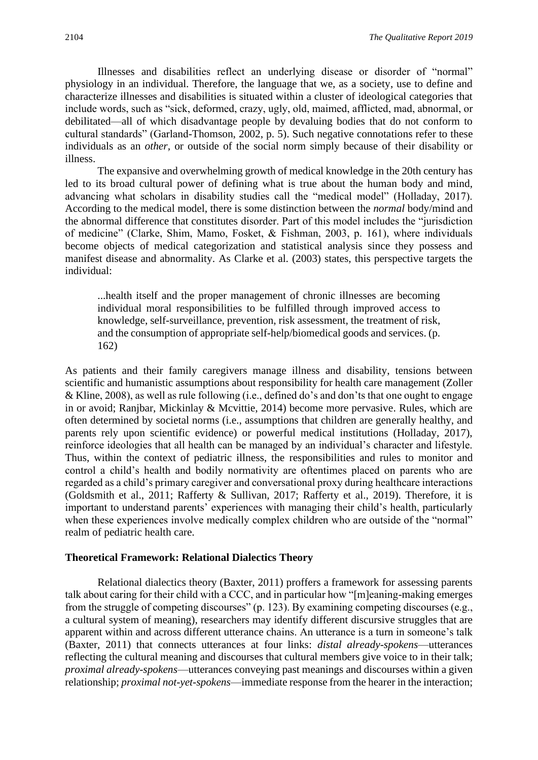Illnesses and disabilities reflect an underlying disease or disorder of "normal" physiology in an individual. Therefore, the language that we, as a society, use to define and characterize illnesses and disabilities is situated within a cluster of ideological categories that include words, such as "sick, deformed, crazy, ugly, old, maimed, afflicted, mad, abnormal, or debilitated—all of which disadvantage people by devaluing bodies that do not conform to cultural standards" (Garland-Thomson, 2002, p. 5). Such negative connotations refer to these individuals as an *other,* or outside of the social norm simply because of their disability or illness.

The expansive and overwhelming growth of medical knowledge in the 20th century has led to its broad cultural power of defining what is true about the human body and mind, advancing what scholars in disability studies call the "medical model" (Holladay, 2017). According to the medical model, there is some distinction between the *normal* body/mind and the abnormal difference that constitutes disorder. Part of this model includes the "jurisdiction of medicine" (Clarke, Shim, Mamo, Fosket, & Fishman, 2003, p. 161), where individuals become objects of medical categorization and statistical analysis since they possess and manifest disease and abnormality. As Clarke et al. (2003) states, this perspective targets the individual:

...health itself and the proper management of chronic illnesses are becoming individual moral responsibilities to be fulfilled through improved access to knowledge, self-surveillance, prevention, risk assessment, the treatment of risk, and the consumption of appropriate self-help/biomedical goods and services. (p. 162)

As patients and their family caregivers manage illness and disability, tensions between scientific and humanistic assumptions about responsibility for health care management (Zoller & Kline, 2008), as well as rule following (i.e., defined do's and don'ts that one ought to engage in or avoid; Ranjbar, Mickinlay & Mcvittie, 2014) become more pervasive. Rules, which are often determined by societal norms (i.e., assumptions that children are generally healthy, and parents rely upon scientific evidence) or powerful medical institutions (Holladay, 2017), reinforce ideologies that all health can be managed by an individual's character and lifestyle. Thus, within the context of pediatric illness, the responsibilities and rules to monitor and control a child's health and bodily normativity are oftentimes placed on parents who are regarded as a child's primary caregiver and conversational proxy during healthcare interactions (Goldsmith et al., 2011; Rafferty & Sullivan, 2017; Rafferty et al., 2019). Therefore, it is important to understand parents' experiences with managing their child's health, particularly when these experiences involve medically complex children who are outside of the "normal" realm of pediatric health care.

#### **Theoretical Framework: Relational Dialectics Theory**

Relational dialectics theory (Baxter, 2011) proffers a framework for assessing parents talk about caring for their child with a CCC, and in particular how "[m]eaning-making emerges from the struggle of competing discourses" (p. 123). By examining competing discourses (e.g., a cultural system of meaning), researchers may identify different discursive struggles that are apparent within and across different utterance chains. An utterance is a turn in someone's talk (Baxter, 2011) that connects utterances at four links: *distal already-spokens*—utterances reflecting the cultural meaning and discourses that cultural members give voice to in their talk; *proximal already-spokens*—utterances conveying past meanings and discourses within a given relationship; *proximal not-yet-spokens*—immediate response from the hearer in the interaction;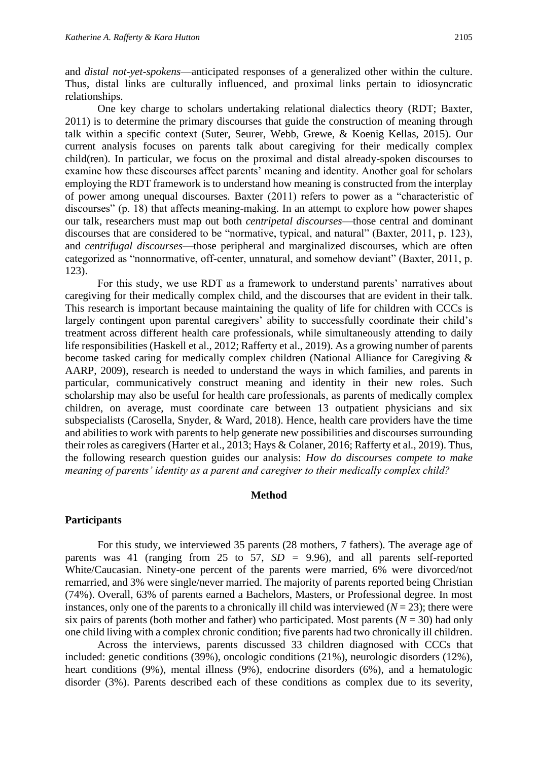and *distal not-yet-spokens*—anticipated responses of a generalized other within the culture. Thus, distal links are culturally influenced, and proximal links pertain to idiosyncratic relationships.

One key charge to scholars undertaking relational dialectics theory (RDT; Baxter, 2011) is to determine the primary discourses that guide the construction of meaning through talk within a specific context (Suter, Seurer, Webb, Grewe, & Koenig Kellas, 2015). Our current analysis focuses on parents talk about caregiving for their medically complex child(ren). In particular, we focus on the proximal and distal already-spoken discourses to examine how these discourses affect parents' meaning and identity. Another goal for scholars employing the RDT framework is to understand how meaning is constructed from the interplay of power among unequal discourses. Baxter (2011) refers to power as a "characteristic of discourses" (p. 18) that affects meaning-making. In an attempt to explore how power shapes our talk, researchers must map out both *centripetal discourses*—those central and dominant discourses that are considered to be "normative, typical, and natural" (Baxter, 2011, p. 123), and *centrifugal discourses*—those peripheral and marginalized discourses, which are often categorized as "nonnormative, off-center, unnatural, and somehow deviant" (Baxter, 2011, p. 123).

For this study, we use RDT as a framework to understand parents' narratives about caregiving for their medically complex child, and the discourses that are evident in their talk. This research is important because maintaining the quality of life for children with CCCs is largely contingent upon parental caregivers' ability to successfully coordinate their child's treatment across different health care professionals, while simultaneously attending to daily life responsibilities (Haskell et al., 2012; Rafferty et al., 2019). As a growing number of parents become tasked caring for medically complex children (National Alliance for Caregiving & AARP, 2009), research is needed to understand the ways in which families, and parents in particular, communicatively construct meaning and identity in their new roles. Such scholarship may also be useful for health care professionals, as parents of medically complex children, on average, must coordinate care between 13 outpatient physicians and six subspecialists (Carosella, Snyder, & Ward, 2018). Hence, health care providers have the time and abilities to work with parents to help generate new possibilities and discourses surrounding their roles as caregivers (Harter et al., 2013; Hays & Colaner, 2016; Rafferty et al., 2019). Thus, the following research question guides our analysis: *How do discourses compete to make meaning of parents' identity as a parent and caregiver to their medically complex child?* 

#### **Method**

#### **Participants**

For this study, we interviewed 35 parents (28 mothers, 7 fathers). The average age of parents was 41 (ranging from 25 to 57, *SD =* 9.96), and all parents self-reported White/Caucasian. Ninety-one percent of the parents were married, 6% were divorced/not remarried, and 3% were single/never married. The majority of parents reported being Christian (74%). Overall, 63% of parents earned a Bachelors, Masters, or Professional degree. In most instances, only one of the parents to a chronically ill child was interviewed  $(N = 23)$ ; there were six pairs of parents (both mother and father) who participated. Most parents ( $N = 30$ ) had only one child living with a complex chronic condition; five parents had two chronically ill children.

Across the interviews, parents discussed 33 children diagnosed with CCCs that included: genetic conditions (39%), oncologic conditions (21%), neurologic disorders (12%), heart conditions (9%), mental illness (9%), endocrine disorders (6%), and a hematologic disorder (3%). Parents described each of these conditions as complex due to its severity,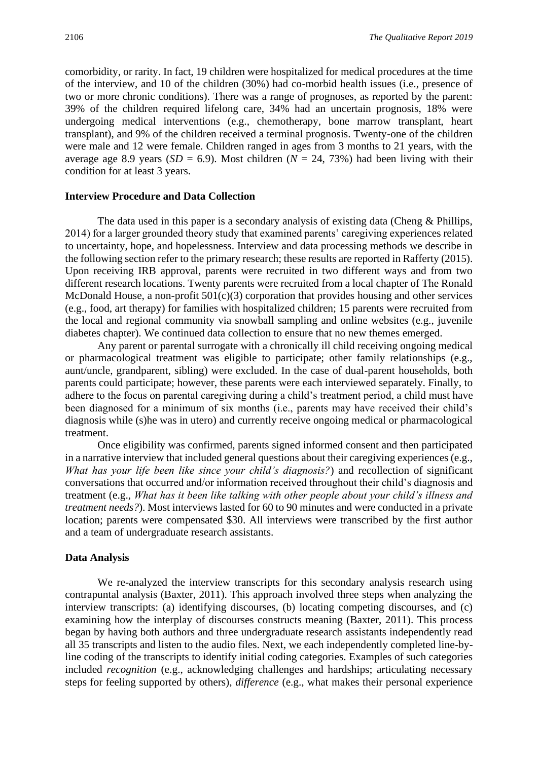comorbidity, or rarity. In fact, 19 children were hospitalized for medical procedures at the time of the interview, and 10 of the children (30%) had co-morbid health issues (i.e., presence of two or more chronic conditions). There was a range of prognoses, as reported by the parent: 39% of the children required lifelong care, 34% had an uncertain prognosis, 18% were undergoing medical interventions (e.g., chemotherapy, bone marrow transplant, heart transplant), and 9% of the children received a terminal prognosis. Twenty-one of the children were male and 12 were female. Children ranged in ages from 3 months to 21 years, with the average age 8.9 years ( $SD = 6.9$ ). Most children ( $N = 24, 73\%$ ) had been living with their condition for at least 3 years.

# **Interview Procedure and Data Collection**

The data used in this paper is a secondary analysis of existing data (Cheng & Phillips, 2014) for a larger grounded theory study that examined parents' caregiving experiences related to uncertainty, hope, and hopelessness. Interview and data processing methods we describe in the following section refer to the primary research; these results are reported in Rafferty (2015). Upon receiving IRB approval, parents were recruited in two different ways and from two different research locations. Twenty parents were recruited from a local chapter of The Ronald McDonald House, a non-profit  $501(c)(3)$  corporation that provides housing and other services (e.g., food, art therapy) for families with hospitalized children; 15 parents were recruited from the local and regional community via snowball sampling and online websites (e.g., juvenile diabetes chapter). We continued data collection to ensure that no new themes emerged.

Any parent or parental surrogate with a chronically ill child receiving ongoing medical or pharmacological treatment was eligible to participate; other family relationships (e.g., aunt/uncle, grandparent, sibling) were excluded. In the case of dual-parent households, both parents could participate; however, these parents were each interviewed separately. Finally, to adhere to the focus on parental caregiving during a child's treatment period, a child must have been diagnosed for a minimum of six months (i.e., parents may have received their child's diagnosis while (s)he was in utero) and currently receive ongoing medical or pharmacological treatment.

Once eligibility was confirmed, parents signed informed consent and then participated in a narrative interview that included general questions about their caregiving experiences (e.g., *What has your life been like since your child's diagnosis?*) and recollection of significant conversations that occurred and/or information received throughout their child's diagnosis and treatment (e.g., *What has it been like talking with other people about your child's illness and treatment needs?*). Most interviews lasted for 60 to 90 minutes and were conducted in a private location; parents were compensated \$30. All interviews were transcribed by the first author and a team of undergraduate research assistants.

### **Data Analysis**

We re-analyzed the interview transcripts for this secondary analysis research using contrapuntal analysis (Baxter, 2011). This approach involved three steps when analyzing the interview transcripts: (a) identifying discourses, (b) locating competing discourses, and (c) examining how the interplay of discourses constructs meaning (Baxter, 2011). This process began by having both authors and three undergraduate research assistants independently read all 35 transcripts and listen to the audio files. Next, we each independently completed line-byline coding of the transcripts to identify initial coding categories. Examples of such categories included *recognition* (e.g., acknowledging challenges and hardships; articulating necessary steps for feeling supported by others), *difference* (e.g., what makes their personal experience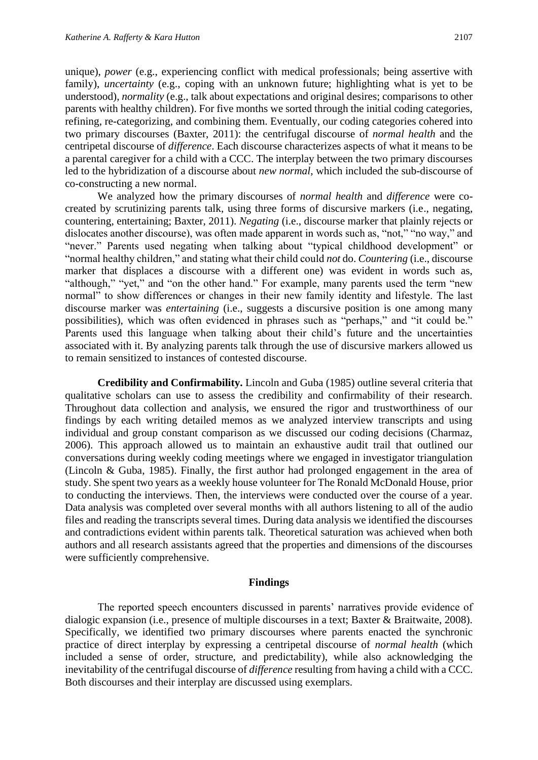unique), *power* (e.g., experiencing conflict with medical professionals; being assertive with family), *uncertainty* (e.g., coping with an unknown future; highlighting what is yet to be understood), *normality* (e.g., talk about expectations and original desires; comparisons to other parents with healthy children). For five months we sorted through the initial coding categories, refining, re-categorizing, and combining them. Eventually, our coding categories cohered into two primary discourses (Baxter, 2011): the centrifugal discourse of *normal health* and the centripetal discourse of *difference*. Each discourse characterizes aspects of what it means to be a parental caregiver for a child with a CCC. The interplay between the two primary discourses led to the hybridization of a discourse about *new normal*, which included the sub-discourse of co-constructing a new normal.

We analyzed how the primary discourses of *normal health* and *difference* were cocreated by scrutinizing parents talk, using three forms of discursive markers (i.e., negating, countering, entertaining; Baxter, 2011). *Negating* (i.e., discourse marker that plainly rejects or dislocates another discourse), was often made apparent in words such as, "not," "no way," and "never." Parents used negating when talking about "typical childhood development" or "normal healthy children," and stating what their child could *not* do. *Countering* (i.e., discourse marker that displaces a discourse with a different one) was evident in words such as, "although," "yet," and "on the other hand." For example, many parents used the term "new normal" to show differences or changes in their new family identity and lifestyle. The last discourse marker was *entertaining* (i.e., suggests a discursive position is one among many possibilities), which was often evidenced in phrases such as "perhaps," and "it could be." Parents used this language when talking about their child's future and the uncertainties associated with it. By analyzing parents talk through the use of discursive markers allowed us to remain sensitized to instances of contested discourse.

**Credibility and Confirmability.** Lincoln and Guba (1985) outline several criteria that qualitative scholars can use to assess the credibility and confirmability of their research. Throughout data collection and analysis, we ensured the rigor and trustworthiness of our findings by each writing detailed memos as we analyzed interview transcripts and using individual and group constant comparison as we discussed our coding decisions (Charmaz, 2006). This approach allowed us to maintain an exhaustive audit trail that outlined our conversations during weekly coding meetings where we engaged in investigator triangulation (Lincoln & Guba, 1985). Finally, the first author had prolonged engagement in the area of study. She spent two years as a weekly house volunteer for The Ronald McDonald House, prior to conducting the interviews. Then, the interviews were conducted over the course of a year. Data analysis was completed over several months with all authors listening to all of the audio files and reading the transcripts several times. During data analysis we identified the discourses and contradictions evident within parents talk. Theoretical saturation was achieved when both authors and all research assistants agreed that the properties and dimensions of the discourses were sufficiently comprehensive.

#### **Findings**

The reported speech encounters discussed in parents' narratives provide evidence of dialogic expansion (i.e., presence of multiple discourses in a text; Baxter & Braitwaite, 2008). Specifically, we identified two primary discourses where parents enacted the synchronic practice of direct interplay by expressing a centripetal discourse of *normal health* (which included a sense of order, structure, and predictability), while also acknowledging the inevitability of the centrifugal discourse of *difference* resulting from having a child with a CCC. Both discourses and their interplay are discussed using exemplars.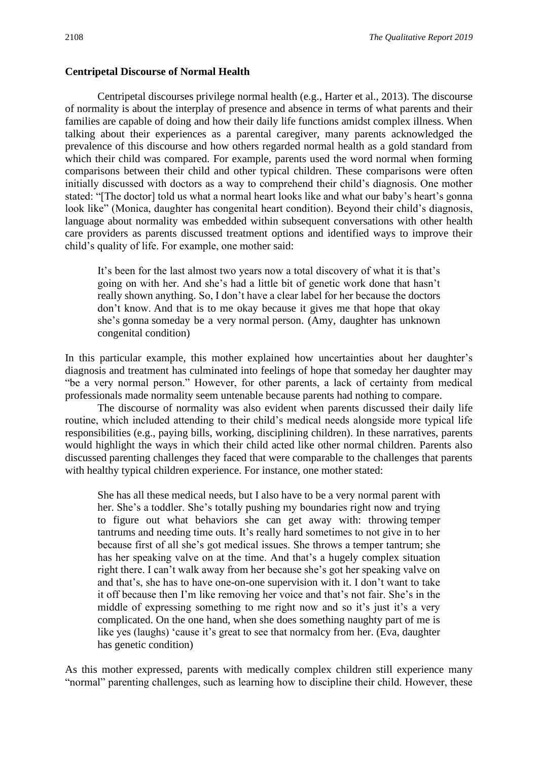### **Centripetal Discourse of Normal Health**

Centripetal discourses privilege normal health (e.g., Harter et al., 2013). The discourse of normality is about the interplay of presence and absence in terms of what parents and their families are capable of doing and how their daily life functions amidst complex illness. When talking about their experiences as a parental caregiver, many parents acknowledged the prevalence of this discourse and how others regarded normal health as a gold standard from which their child was compared. For example, parents used the word normal when forming comparisons between their child and other typical children. These comparisons were often initially discussed with doctors as a way to comprehend their child's diagnosis. One mother stated: "[The doctor] told us what a normal heart looks like and what our baby's heart's gonna look like" (Monica, daughter has congenital heart condition). Beyond their child's diagnosis, language about normality was embedded within subsequent conversations with other health care providers as parents discussed treatment options and identified ways to improve their child's quality of life. For example, one mother said:

It's been for the last almost two years now a total discovery of what it is that's going on with her. And she's had a little bit of genetic work done that hasn't really shown anything. So, I don't have a clear label for her because the doctors don't know. And that is to me okay because it gives me that hope that okay she's gonna someday be a very normal person. (Amy, daughter has unknown congenital condition)

In this particular example, this mother explained how uncertainties about her daughter's diagnosis and treatment has culminated into feelings of hope that someday her daughter may "be a very normal person." However, for other parents, a lack of certainty from medical professionals made normality seem untenable because parents had nothing to compare.

The discourse of normality was also evident when parents discussed their daily life routine, which included attending to their child's medical needs alongside more typical life responsibilities (e.g., paying bills, working, disciplining children). In these narratives, parents would highlight the ways in which their child acted like other normal children. Parents also discussed parenting challenges they faced that were comparable to the challenges that parents with healthy typical children experience. For instance, one mother stated:

She has all these medical needs, but I also have to be a very normal parent with her. She's a toddler. She's totally pushing my boundaries right now and trying to figure out what behaviors she can get away with: throwing temper tantrums and needing time outs. It's really hard sometimes to not give in to her because first of all she's got medical issues. She throws a temper tantrum; she has her speaking valve on at the time. And that's a hugely complex situation right there. I can't walk away from her because she's got her speaking valve on and that's, she has to have one-on-one supervision with it. I don't want to take it off because then I'm like removing her voice and that's not fair. She's in the middle of expressing something to me right now and so it's just it's a very complicated. On the one hand, when she does something naughty part of me is like yes (laughs) 'cause it's great to see that normalcy from her. (Eva, daughter has genetic condition)

As this mother expressed, parents with medically complex children still experience many "normal" parenting challenges, such as learning how to discipline their child. However, these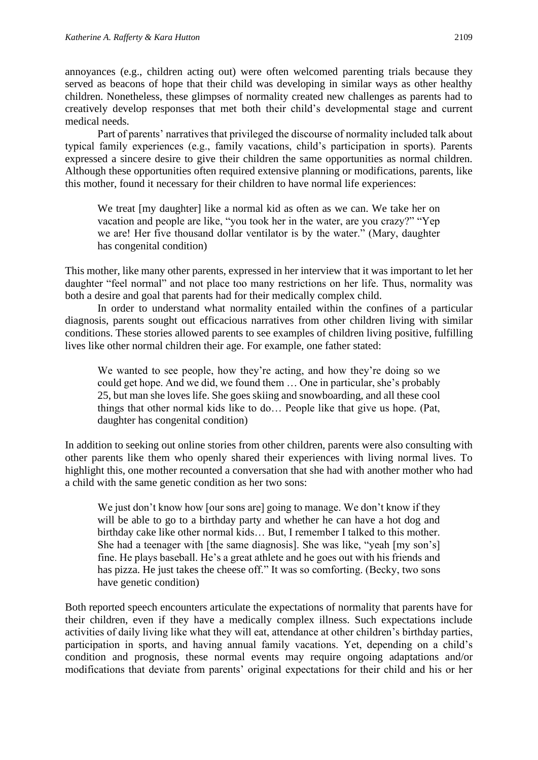annoyances (e.g., children acting out) were often welcomed parenting trials because they served as beacons of hope that their child was developing in similar ways as other healthy children. Nonetheless, these glimpses of normality created new challenges as parents had to creatively develop responses that met both their child's developmental stage and current medical needs.

Part of parents' narratives that privileged the discourse of normality included talk about typical family experiences (e.g., family vacations, child's participation in sports). Parents expressed a sincere desire to give their children the same opportunities as normal children. Although these opportunities often required extensive planning or modifications, parents, like this mother, found it necessary for their children to have normal life experiences:

We treat [my daughter] like a normal kid as often as we can. We take her on vacation and people are like, "you took her in the water, are you crazy?" "Yep we are! Her five thousand dollar ventilator is by the water." (Mary, daughter has congenital condition)

This mother, like many other parents, expressed in her interview that it was important to let her daughter "feel normal" and not place too many restrictions on her life. Thus, normality was both a desire and goal that parents had for their medically complex child.

In order to understand what normality entailed within the confines of a particular diagnosis, parents sought out efficacious narratives from other children living with similar conditions. These stories allowed parents to see examples of children living positive, fulfilling lives like other normal children their age. For example, one father stated:

We wanted to see people, how they're acting, and how they're doing so we could get hope. And we did, we found them … One in particular, she's probably 25, but man she loves life. She goes skiing and snowboarding, and all these cool things that other normal kids like to do… People like that give us hope. (Pat, daughter has congenital condition)

In addition to seeking out online stories from other children, parents were also consulting with other parents like them who openly shared their experiences with living normal lives. To highlight this, one mother recounted a conversation that she had with another mother who had a child with the same genetic condition as her two sons:

We just don't know how [our sons are] going to manage. We don't know if they will be able to go to a birthday party and whether he can have a hot dog and birthday cake like other normal kids… But, I remember I talked to this mother. She had a teenager with [the same diagnosis]. She was like, "yeah [my son's] fine. He plays baseball. He's a great athlete and he goes out with his friends and has pizza. He just takes the cheese off." It was so comforting. (Becky, two sons have genetic condition)

Both reported speech encounters articulate the expectations of normality that parents have for their children, even if they have a medically complex illness. Such expectations include activities of daily living like what they will eat, attendance at other children's birthday parties, participation in sports, and having annual family vacations. Yet, depending on a child's condition and prognosis, these normal events may require ongoing adaptations and/or modifications that deviate from parents' original expectations for their child and his or her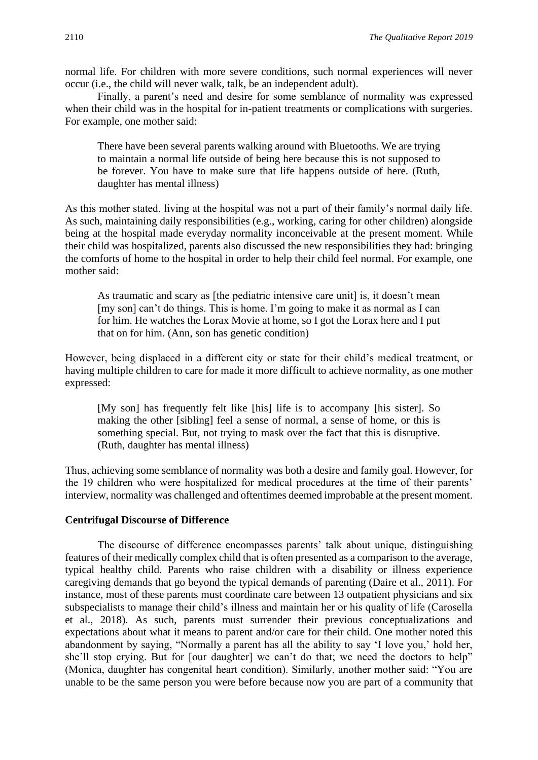normal life. For children with more severe conditions, such normal experiences will never occur (i.e., the child will never walk, talk, be an independent adult).

Finally, a parent's need and desire for some semblance of normality was expressed when their child was in the hospital for in-patient treatments or complications with surgeries. For example, one mother said:

There have been several parents walking around with Bluetooths. We are trying to maintain a normal life outside of being here because this is not supposed to be forever. You have to make sure that life happens outside of here. (Ruth, daughter has mental illness)

As this mother stated, living at the hospital was not a part of their family's normal daily life. As such, maintaining daily responsibilities (e.g., working, caring for other children) alongside being at the hospital made everyday normality inconceivable at the present moment. While their child was hospitalized, parents also discussed the new responsibilities they had: bringing the comforts of home to the hospital in order to help their child feel normal. For example, one mother said:

As traumatic and scary as [the pediatric intensive care unit] is, it doesn't mean [my son] can't do things. This is home. I'm going to make it as normal as I can for him. He watches the Lorax Movie at home, so I got the Lorax here and I put that on for him. (Ann, son has genetic condition)

However, being displaced in a different city or state for their child's medical treatment, or having multiple children to care for made it more difficult to achieve normality, as one mother expressed:

[My son] has frequently felt like [his] life is to accompany [his sister]. So making the other [sibling] feel a sense of normal, a sense of home, or this is something special. But, not trying to mask over the fact that this is disruptive. (Ruth, daughter has mental illness)

Thus, achieving some semblance of normality was both a desire and family goal. However, for the 19 children who were hospitalized for medical procedures at the time of their parents' interview, normality was challenged and oftentimes deemed improbable at the present moment.

## **Centrifugal Discourse of Difference**

The discourse of difference encompasses parents' talk about unique, distinguishing features of their medically complex child that is often presented as a comparison to the average, typical healthy child. Parents who raise children with a disability or illness experience caregiving demands that go beyond the typical demands of parenting (Daire et al., 2011). For instance, most of these parents must coordinate care between 13 outpatient physicians and six subspecialists to manage their child's illness and maintain her or his quality of life (Carosella et al., 2018). As such, parents must surrender their previous conceptualizations and expectations about what it means to parent and/or care for their child. One mother noted this abandonment by saying, "Normally a parent has all the ability to say 'I love you,' hold her, she'll stop crying. But for [our daughter] we can't do that; we need the doctors to help" (Monica, daughter has congenital heart condition). Similarly, another mother said: "You are unable to be the same person you were before because now you are part of a community that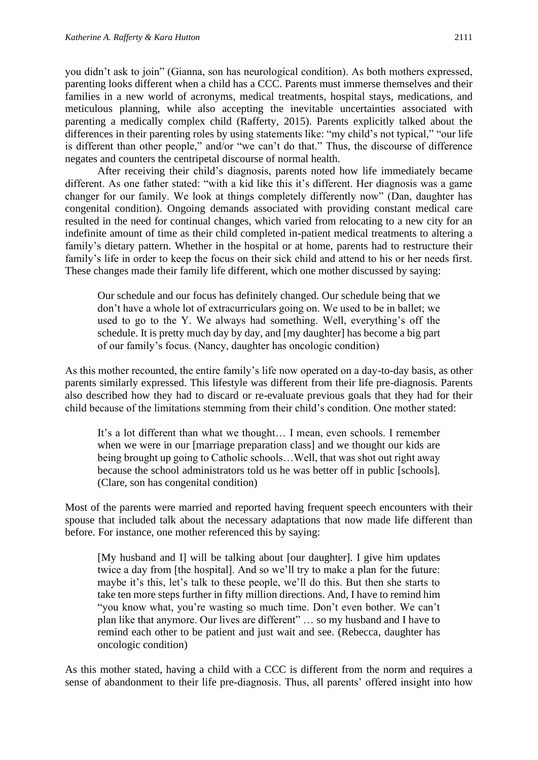you didn't ask to join" (Gianna, son has neurological condition). As both mothers expressed, parenting looks different when a child has a CCC. Parents must immerse themselves and their families in a new world of acronyms, medical treatments, hospital stays, medications, and meticulous planning, while also accepting the inevitable uncertainties associated with parenting a medically complex child (Rafferty, 2015). Parents explicitly talked about the differences in their parenting roles by using statements like: "my child's not typical," "our life is different than other people," and/or "we can't do that." Thus, the discourse of difference negates and counters the centripetal discourse of normal health.

After receiving their child's diagnosis, parents noted how life immediately became different. As one father stated: "with a kid like this it's different. Her diagnosis was a game changer for our family. We look at things completely differently now" (Dan, daughter has congenital condition). Ongoing demands associated with providing constant medical care resulted in the need for continual changes, which varied from relocating to a new city for an indefinite amount of time as their child completed in-patient medical treatments to altering a family's dietary pattern. Whether in the hospital or at home, parents had to restructure their family's life in order to keep the focus on their sick child and attend to his or her needs first. These changes made their family life different, which one mother discussed by saying:

Our schedule and our focus has definitely changed. Our schedule being that we don't have a whole lot of extracurriculars going on. We used to be in ballet; we used to go to the Y. We always had something. Well, everything's off the schedule. It is pretty much day by day, and [my daughter] has become a big part of our family's focus. (Nancy, daughter has oncologic condition)

As this mother recounted, the entire family's life now operated on a day-to-day basis, as other parents similarly expressed. This lifestyle was different from their life pre-diagnosis. Parents also described how they had to discard or re-evaluate previous goals that they had for their child because of the limitations stemming from their child's condition. One mother stated:

It's a lot different than what we thought… I mean, even schools. I remember when we were in our [marriage preparation class] and we thought our kids are being brought up going to Catholic schools…Well, that was shot out right away because the school administrators told us he was better off in public [schools]. (Clare, son has congenital condition)

Most of the parents were married and reported having frequent speech encounters with their spouse that included talk about the necessary adaptations that now made life different than before. For instance, one mother referenced this by saying:

[My husband and I] will be talking about [our daughter]. I give him updates twice a day from [the hospital]. And so we'll try to make a plan for the future: maybe it's this, let's talk to these people, we'll do this. But then she starts to take ten more steps further in fifty million directions. And, I have to remind him "you know what, you're wasting so much time. Don't even bother. We can't plan like that anymore. Our lives are different" … so my husband and I have to remind each other to be patient and just wait and see. (Rebecca, daughter has oncologic condition)

As this mother stated, having a child with a CCC is different from the norm and requires a sense of abandonment to their life pre-diagnosis. Thus, all parents' offered insight into how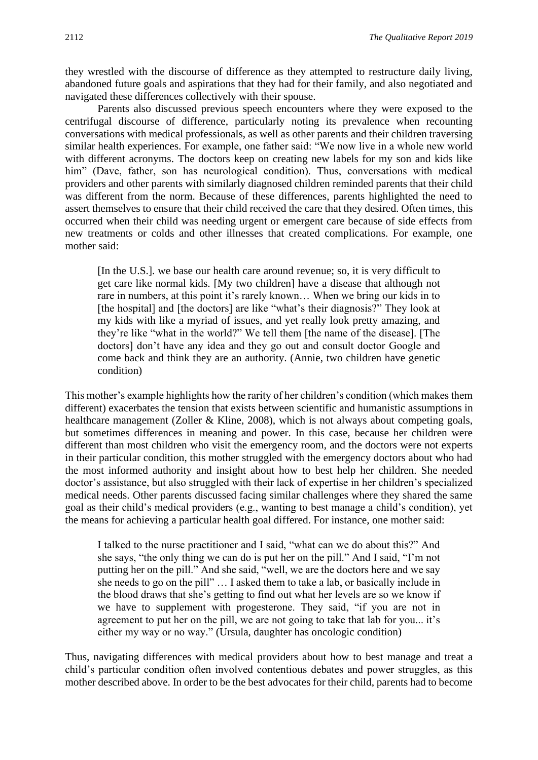they wrestled with the discourse of difference as they attempted to restructure daily living, abandoned future goals and aspirations that they had for their family, and also negotiated and navigated these differences collectively with their spouse.

Parents also discussed previous speech encounters where they were exposed to the centrifugal discourse of difference, particularly noting its prevalence when recounting conversations with medical professionals, as well as other parents and their children traversing similar health experiences. For example, one father said: "We now live in a whole new world with different acronyms. The doctors keep on creating new labels for my son and kids like him" (Dave, father, son has neurological condition). Thus, conversations with medical providers and other parents with similarly diagnosed children reminded parents that their child was different from the norm. Because of these differences, parents highlighted the need to assert themselves to ensure that their child received the care that they desired. Often times, this occurred when their child was needing urgent or emergent care because of side effects from new treatments or colds and other illnesses that created complications. For example, one mother said:

[In the U.S.]. we base our health care around revenue; so, it is very difficult to get care like normal kids. [My two children] have a disease that although not rare in numbers, at this point it's rarely known… When we bring our kids in to [the hospital] and [the doctors] are like "what's their diagnosis?" They look at my kids with like a myriad of issues, and yet really look pretty amazing, and they're like "what in the world?" We tell them [the name of the disease]. [The doctors] don't have any idea and they go out and consult doctor Google and come back and think they are an authority. (Annie, two children have genetic condition)

This mother's example highlights how the rarity of her children's condition (which makes them different) exacerbates the tension that exists between scientific and humanistic assumptions in healthcare management (Zoller & Kline, 2008), which is not always about competing goals, but sometimes differences in meaning and power. In this case, because her children were different than most children who visit the emergency room, and the doctors were not experts in their particular condition, this mother struggled with the emergency doctors about who had the most informed authority and insight about how to best help her children. She needed doctor's assistance, but also struggled with their lack of expertise in her children's specialized medical needs. Other parents discussed facing similar challenges where they shared the same goal as their child's medical providers (e.g., wanting to best manage a child's condition), yet the means for achieving a particular health goal differed. For instance, one mother said:

I talked to the nurse practitioner and I said, "what can we do about this?" And she says, "the only thing we can do is put her on the pill." And I said, "I'm not putting her on the pill." And she said, "well, we are the doctors here and we say she needs to go on the pill" … I asked them to take a lab, or basically include in the blood draws that she's getting to find out what her levels are so we know if we have to supplement with progesterone. They said, "if you are not in agreement to put her on the pill, we are not going to take that lab for you... it's either my way or no way." (Ursula, daughter has oncologic condition)

Thus, navigating differences with medical providers about how to best manage and treat a child's particular condition often involved contentious debates and power struggles, as this mother described above. In order to be the best advocates for their child, parents had to become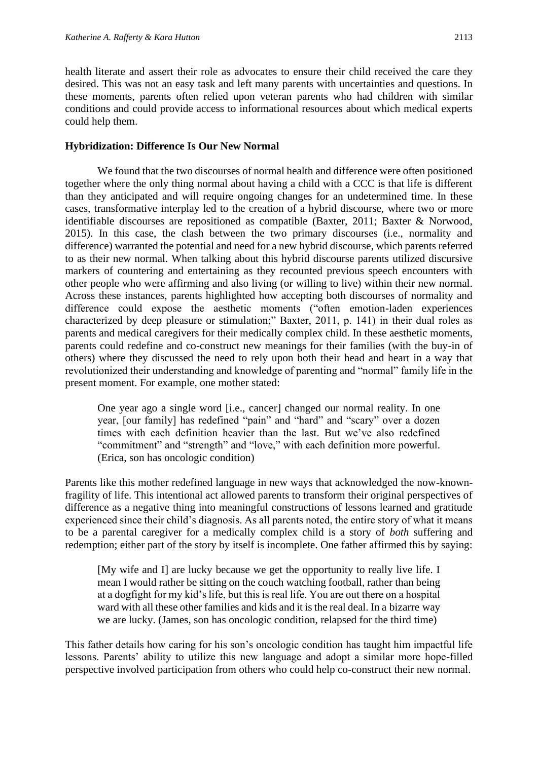health literate and assert their role as advocates to ensure their child received the care they desired. This was not an easy task and left many parents with uncertainties and questions. In these moments, parents often relied upon veteran parents who had children with similar conditions and could provide access to informational resources about which medical experts could help them.

#### **Hybridization: Difference Is Our New Normal**

We found that the two discourses of normal health and difference were often positioned together where the only thing normal about having a child with a CCC is that life is different than they anticipated and will require ongoing changes for an undetermined time. In these cases, transformative interplay led to the creation of a hybrid discourse, where two or more identifiable discourses are repositioned as compatible (Baxter, 2011; Baxter & Norwood, 2015). In this case, the clash between the two primary discourses (i.e., normality and difference) warranted the potential and need for a new hybrid discourse, which parents referred to as their new normal. When talking about this hybrid discourse parents utilized discursive markers of countering and entertaining as they recounted previous speech encounters with other people who were affirming and also living (or willing to live) within their new normal. Across these instances, parents highlighted how accepting both discourses of normality and difference could expose the aesthetic moments ("often emotion-laden experiences characterized by deep pleasure or stimulation;" Baxter, 2011, p. 141) in their dual roles as parents and medical caregivers for their medically complex child. In these aesthetic moments, parents could redefine and co-construct new meanings for their families (with the buy-in of others) where they discussed the need to rely upon both their head and heart in a way that revolutionized their understanding and knowledge of parenting and "normal" family life in the present moment. For example, one mother stated:

One year ago a single word [i.e., cancer] changed our normal reality. In one year, [our family] has redefined "pain" and "hard" and "scary" over a dozen times with each definition heavier than the last. But we've also redefined "commitment" and "strength" and "love," with each definition more powerful. (Erica, son has oncologic condition)

Parents like this mother redefined language in new ways that acknowledged the now-knownfragility of life. This intentional act allowed parents to transform their original perspectives of difference as a negative thing into meaningful constructions of lessons learned and gratitude experienced since their child's diagnosis. As all parents noted, the entire story of what it means to be a parental caregiver for a medically complex child is a story of *both* suffering and redemption; either part of the story by itself is incomplete. One father affirmed this by saying:

[My wife and I] are lucky because we get the opportunity to really live life. I mean I would rather be sitting on the couch watching football, rather than being at a dogfight for my kid's life, but this is real life. You are out there on a hospital ward with all these other families and kids and it is the real deal. In a bizarre way we are lucky. (James, son has oncologic condition, relapsed for the third time)

This father details how caring for his son's oncologic condition has taught him impactful life lessons. Parents' ability to utilize this new language and adopt a similar more hope-filled perspective involved participation from others who could help co-construct their new normal.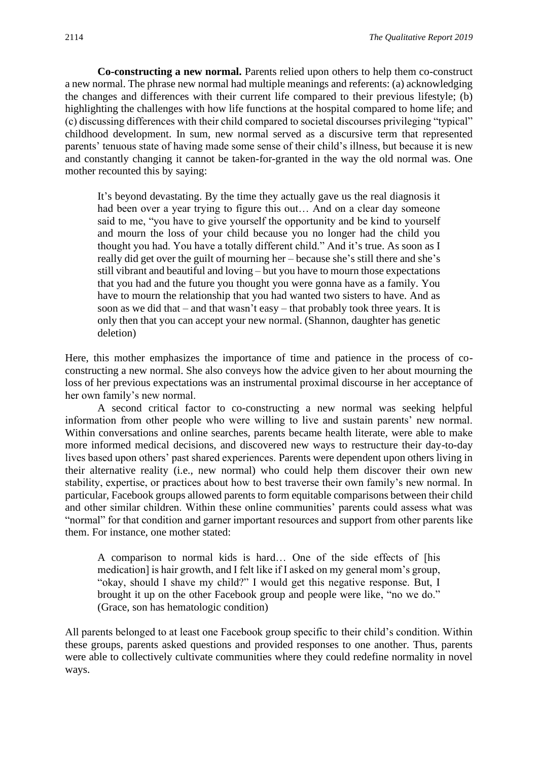**Co-constructing a new normal.** Parents relied upon others to help them co-construct a new normal. The phrase new normal had multiple meanings and referents: (a) acknowledging the changes and differences with their current life compared to their previous lifestyle; (b) highlighting the challenges with how life functions at the hospital compared to home life; and (c) discussing differences with their child compared to societal discourses privileging "typical" childhood development. In sum, new normal served as a discursive term that represented parents' tenuous state of having made some sense of their child's illness, but because it is new and constantly changing it cannot be taken-for-granted in the way the old normal was. One mother recounted this by saying:

It's beyond devastating. By the time they actually gave us the real diagnosis it had been over a year trying to figure this out… And on a clear day someone said to me, "you have to give yourself the opportunity and be kind to yourself and mourn the loss of your child because you no longer had the child you thought you had. You have a totally different child." And it's true. As soon as I really did get over the guilt of mourning her – because she's still there and she's still vibrant and beautiful and loving – but you have to mourn those expectations that you had and the future you thought you were gonna have as a family. You have to mourn the relationship that you had wanted two sisters to have. And as soon as we did that – and that wasn't easy – that probably took three years. It is only then that you can accept your new normal. (Shannon, daughter has genetic deletion)

Here, this mother emphasizes the importance of time and patience in the process of coconstructing a new normal. She also conveys how the advice given to her about mourning the loss of her previous expectations was an instrumental proximal discourse in her acceptance of her own family's new normal.

A second critical factor to co-constructing a new normal was seeking helpful information from other people who were willing to live and sustain parents' new normal. Within conversations and online searches, parents became health literate, were able to make more informed medical decisions, and discovered new ways to restructure their day-to-day lives based upon others' past shared experiences. Parents were dependent upon others living in their alternative reality (i.e., new normal) who could help them discover their own new stability, expertise, or practices about how to best traverse their own family's new normal. In particular, Facebook groups allowed parents to form equitable comparisons between their child and other similar children. Within these online communities' parents could assess what was "normal" for that condition and garner important resources and support from other parents like them. For instance, one mother stated:

A comparison to normal kids is hard… One of the side effects of [his medication] is hair growth, and I felt like if I asked on my general mom's group, "okay, should I shave my child?" I would get this negative response. But, I brought it up on the other Facebook group and people were like, "no we do." (Grace, son has hematologic condition)

All parents belonged to at least one Facebook group specific to their child's condition. Within these groups, parents asked questions and provided responses to one another. Thus, parents were able to collectively cultivate communities where they could redefine normality in novel ways.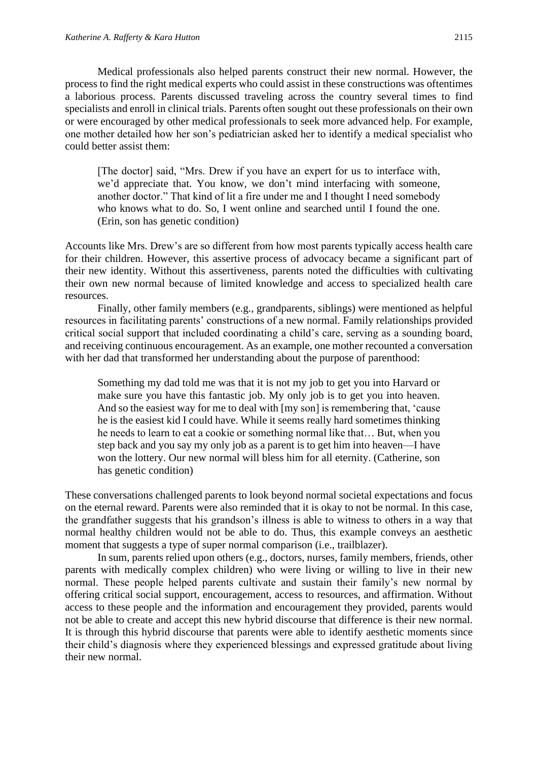Medical professionals also helped parents construct their new normal. However, the process to find the right medical experts who could assist in these constructions was oftentimes a laborious process. Parents discussed traveling across the country several times to find specialists and enroll in clinical trials. Parents often sought out these professionals on their own or were encouraged by other medical professionals to seek more advanced help. For example, one mother detailed how her son's pediatrician asked her to identify a medical specialist who could better assist them:

[The doctor] said, "Mrs. Drew if you have an expert for us to interface with, we'd appreciate that. You know, we don't mind interfacing with someone, another doctor." That kind of lit a fire under me and I thought I need somebody who knows what to do. So, I went online and searched until I found the one. (Erin, son has genetic condition)

Accounts like Mrs. Drew's are so different from how most parents typically access health care for their children. However, this assertive process of advocacy became a significant part of their new identity. Without this assertiveness, parents noted the difficulties with cultivating their own new normal because of limited knowledge and access to specialized health care resources.

Finally, other family members (e.g., grandparents, siblings) were mentioned as helpful resources in facilitating parents' constructions of a new normal. Family relationships provided critical social support that included coordinating a child's care, serving as a sounding board, and receiving continuous encouragement. As an example, one mother recounted a conversation with her dad that transformed her understanding about the purpose of parenthood:

Something my dad told me was that it is not my job to get you into Harvard or make sure you have this fantastic job. My only job is to get you into heaven. And so the easiest way for me to deal with [my son] is remembering that, 'cause he is the easiest kid I could have. While it seems really hard sometimes thinking he needs to learn to eat a cookie or something normal like that… But, when you step back and you say my only job as a parent is to get him into heaven—I have won the lottery. Our new normal will bless him for all eternity. (Catherine, son has genetic condition)

These conversations challenged parents to look beyond normal societal expectations and focus on the eternal reward. Parents were also reminded that it is okay to not be normal. In this case, the grandfather suggests that his grandson's illness is able to witness to others in a way that normal healthy children would not be able to do. Thus, this example conveys an aesthetic moment that suggests a type of super normal comparison (i.e., trailblazer).

In sum, parents relied upon others (e.g., doctors, nurses, family members, friends, other parents with medically complex children) who were living or willing to live in their new normal. These people helped parents cultivate and sustain their family's new normal by offering critical social support, encouragement, access to resources, and affirmation. Without access to these people and the information and encouragement they provided, parents would not be able to create and accept this new hybrid discourse that difference is their new normal. It is through this hybrid discourse that parents were able to identify aesthetic moments since their child's diagnosis where they experienced blessings and expressed gratitude about living their new normal.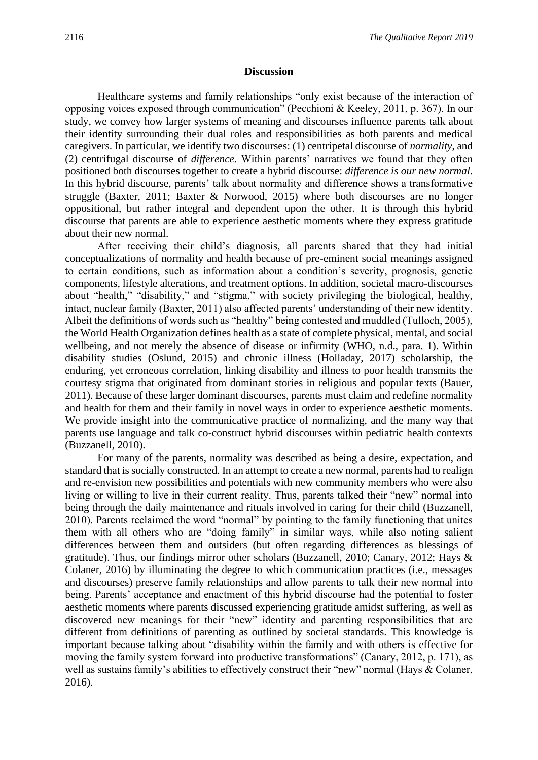#### **Discussion**

Healthcare systems and family relationships "only exist because of the interaction of opposing voices exposed through communication" (Pecchioni & Keeley, 2011, p. 367). In our study, we convey how larger systems of meaning and discourses influence parents talk about their identity surrounding their dual roles and responsibilities as both parents and medical caregivers. In particular, we identify two discourses: (1) centripetal discourse of *normality*, and (2) centrifugal discourse of *difference*. Within parents' narratives we found that they often positioned both discourses together to create a hybrid discourse: *difference is our new normal*. In this hybrid discourse, parents' talk about normality and difference shows a transformative struggle (Baxter, 2011; Baxter & Norwood, 2015) where both discourses are no longer oppositional, but rather integral and dependent upon the other. It is through this hybrid discourse that parents are able to experience aesthetic moments where they express gratitude about their new normal.

After receiving their child's diagnosis, all parents shared that they had initial conceptualizations of normality and health because of pre-eminent social meanings assigned to certain conditions, such as information about a condition's severity, prognosis, genetic components, lifestyle alterations, and treatment options. In addition, societal macro-discourses about "health," "disability," and "stigma," with society privileging the biological, healthy, intact, nuclear family (Baxter, 2011) also affected parents' understanding of their new identity. Albeit the definitions of words such as "healthy" being contested and muddled (Tulloch, 2005), the World Health Organization defines health as a state of complete physical, mental, and social wellbeing, and not merely the absence of disease or infirmity (WHO, n.d., para. 1). Within disability studies (Oslund, 2015) and chronic illness (Holladay, 2017) scholarship, the enduring, yet erroneous correlation, linking disability and illness to poor health transmits the courtesy stigma that originated from dominant stories in religious and popular texts (Bauer, 2011). Because of these larger dominant discourses, parents must claim and redefine normality and health for them and their family in novel ways in order to experience aesthetic moments. We provide insight into the communicative practice of normalizing, and the many way that parents use language and talk co-construct hybrid discourses within pediatric health contexts (Buzzanell, 2010).

For many of the parents, normality was described as being a desire, expectation, and standard that is socially constructed. In an attempt to create a new normal, parents had to realign and re-envision new possibilities and potentials with new community members who were also living or willing to live in their current reality. Thus, parents talked their "new" normal into being through the daily maintenance and rituals involved in caring for their child (Buzzanell, 2010). Parents reclaimed the word "normal" by pointing to the family functioning that unites them with all others who are "doing family" in similar ways, while also noting salient differences between them and outsiders (but often regarding differences as blessings of gratitude). Thus, our findings mirror other scholars (Buzzanell, 2010; Canary, 2012; Hays & Colaner, 2016) by illuminating the degree to which communication practices (i.e., messages and discourses) preserve family relationships and allow parents to talk their new normal into being. Parents' acceptance and enactment of this hybrid discourse had the potential to foster aesthetic moments where parents discussed experiencing gratitude amidst suffering, as well as discovered new meanings for their "new" identity and parenting responsibilities that are different from definitions of parenting as outlined by societal standards. This knowledge is important because talking about "disability within the family and with others is effective for moving the family system forward into productive transformations" (Canary, 2012, p. 171), as well as sustains family's abilities to effectively construct their "new" normal (Hays & Colaner, 2016).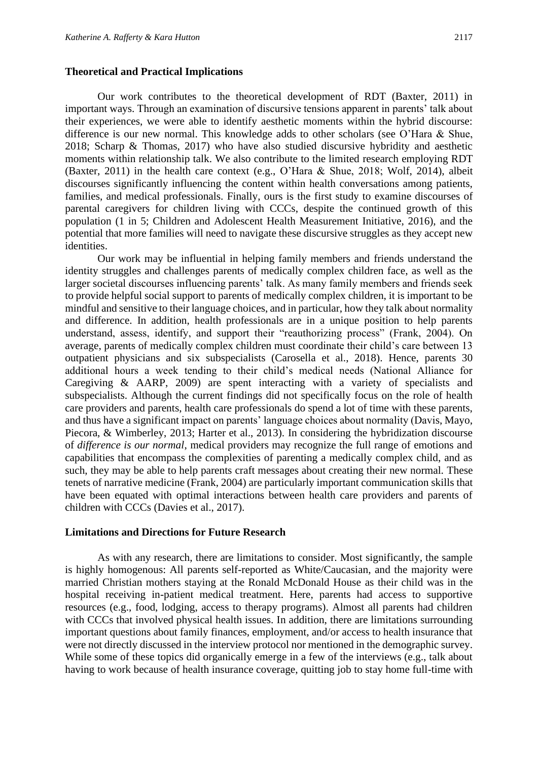Our work contributes to the theoretical development of RDT (Baxter, 2011) in important ways. Through an examination of discursive tensions apparent in parents' talk about their experiences, we were able to identify aesthetic moments within the hybrid discourse: difference is our new normal. This knowledge adds to other scholars (see O'Hara & Shue, 2018; Scharp & Thomas, 2017) who have also studied discursive hybridity and aesthetic moments within relationship talk. We also contribute to the limited research employing RDT (Baxter, 2011) in the health care context (e.g., O'Hara & Shue, 2018; Wolf, 2014), albeit discourses significantly influencing the content within health conversations among patients, families, and medical professionals. Finally, ours is the first study to examine discourses of parental caregivers for children living with CCCs, despite the continued growth of this population (1 in 5; Children and Adolescent Health Measurement Initiative, 2016), and the potential that more families will need to navigate these discursive struggles as they accept new identities.

Our work may be influential in helping family members and friends understand the identity struggles and challenges parents of medically complex children face, as well as the larger societal discourses influencing parents' talk. As many family members and friends seek to provide helpful social support to parents of medically complex children, it is important to be mindful and sensitive to their language choices, and in particular, how they talk about normality and difference. In addition, health professionals are in a unique position to help parents understand, assess, identify, and support their "reauthorizing process" (Frank, 2004). On average, parents of medically complex children must coordinate their child's care between 13 outpatient physicians and six subspecialists (Carosella et al., 2018). Hence, parents 30 additional hours a week tending to their child's medical needs (National Alliance for Caregiving & AARP, 2009) are spent interacting with a variety of specialists and subspecialists. Although the current findings did not specifically focus on the role of health care providers and parents, health care professionals do spend a lot of time with these parents, and thus have a significant impact on parents' language choices about normality (Davis, Mayo, Piecora, & Wimberley, 2013; Harter et al., 2013). In considering the hybridization discourse of *difference is our normal*, medical providers may recognize the full range of emotions and capabilities that encompass the complexities of parenting a medically complex child, and as such, they may be able to help parents craft messages about creating their new normal. These tenets of narrative medicine (Frank, 2004) are particularly important communication skills that have been equated with optimal interactions between health care providers and parents of children with CCCs (Davies et al., 2017).

#### **Limitations and Directions for Future Research**

As with any research, there are limitations to consider. Most significantly, the sample is highly homogenous: All parents self-reported as White/Caucasian, and the majority were married Christian mothers staying at the Ronald McDonald House as their child was in the hospital receiving in-patient medical treatment. Here, parents had access to supportive resources (e.g., food, lodging, access to therapy programs). Almost all parents had children with CCCs that involved physical health issues. In addition, there are limitations surrounding important questions about family finances, employment, and/or access to health insurance that were not directly discussed in the interview protocol nor mentioned in the demographic survey. While some of these topics did organically emerge in a few of the interviews (e.g., talk about having to work because of health insurance coverage, quitting job to stay home full-time with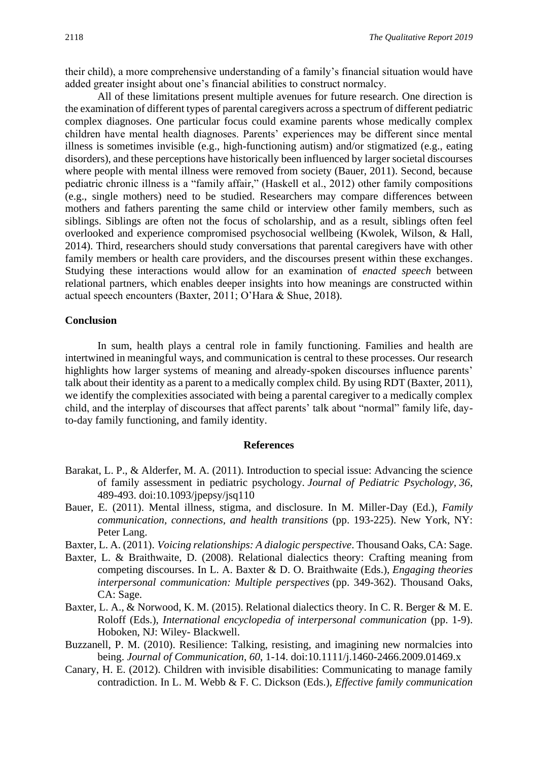their child), a more comprehensive understanding of a family's financial situation would have added greater insight about one's financial abilities to construct normalcy.

All of these limitations present multiple avenues for future research. One direction is the examination of different types of parental caregivers across a spectrum of different pediatric complex diagnoses. One particular focus could examine parents whose medically complex children have mental health diagnoses. Parents' experiences may be different since mental illness is sometimes invisible (e.g., high-functioning autism) and/or stigmatized (e.g., eating disorders), and these perceptions have historically been influenced by larger societal discourses where people with mental illness were removed from society (Bauer, 2011). Second, because pediatric chronic illness is a "family affair," (Haskell et al., 2012) other family compositions (e.g., single mothers) need to be studied. Researchers may compare differences between mothers and fathers parenting the same child or interview other family members, such as siblings. Siblings are often not the focus of scholarship, and as a result, siblings often feel overlooked and experience compromised psychosocial wellbeing (Kwolek, Wilson, & Hall, 2014). Third, researchers should study conversations that parental caregivers have with other family members or health care providers, and the discourses present within these exchanges. Studying these interactions would allow for an examination of *enacted speech* between relational partners, which enables deeper insights into how meanings are constructed within actual speech encounters (Baxter, 2011; O'Hara & Shue, 2018).

# **Conclusion**

In sum, health plays a central role in family functioning. Families and health are intertwined in meaningful ways, and communication is central to these processes. Our research highlights how larger systems of meaning and already-spoken discourses influence parents' talk about their identity as a parent to a medically complex child. By using RDT (Baxter, 2011), we identify the complexities associated with being a parental caregiver to a medically complex child, and the interplay of discourses that affect parents' talk about "normal" family life, dayto-day family functioning, and family identity.

#### **References**

- Barakat, L. P., & Alderfer, M. A. (2011). Introduction to special issue: Advancing the science of family assessment in pediatric psychology. *Journal of Pediatric Psychology, 36*, 489-493. doi:10.1093/jpepsy/jsq110
- Bauer, E. (2011). Mental illness, stigma, and disclosure. In M. Miller-Day (Ed.), *Family communication, connections, and health transitions* (pp. 193-225). New York, NY: Peter Lang.
- Baxter, L. A. (2011). *Voicing relationships: A dialogic perspective*. Thousand Oaks, CA: Sage.
- Baxter, L. & Braithwaite, D. (2008). Relational dialectics theory: Crafting meaning from competing discourses. In L. A. Baxter & D. O. Braithwaite (Eds.), *Engaging theories interpersonal communication: Multiple perspectives* (pp. 349-362). Thousand Oaks, CA: Sage.
- Baxter, L. A., & Norwood, K. M. (2015). Relational dialectics theory. In C. R. Berger & M. E. Roloff (Eds.), *International encyclopedia of interpersonal communication* (pp. 1-9). Hoboken, NJ: Wiley- Blackwell.
- Buzzanell, P. M. (2010). Resilience: Talking, resisting, and imagining new normalcies into being. *Journal of Communication*, *60*, 1-14. doi:10.1111/j.1460-2466.2009.01469.x
- Canary, H. E. (2012). Children with invisible disabilities: Communicating to manage family contradiction. In L. M. Webb & F. C. Dickson (Eds.), *Effective family communication*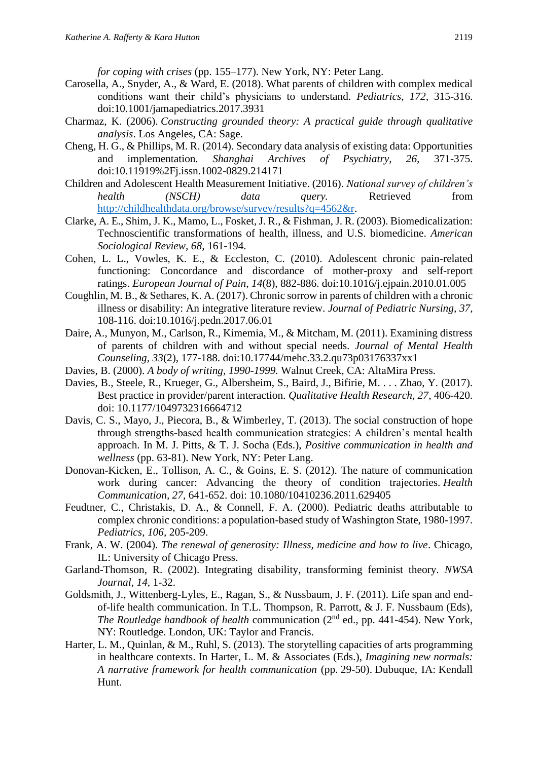*for coping with crises* (pp. 155–177). New York, NY: Peter Lang.

- Carosella, A., Snyder, A., & Ward, E. (2018). What parents of children with complex medical conditions want their child's physicians to understand. *Pediatrics*, *172,* 315-316. doi:10.1001/jamapediatrics.2017.3931
- Charmaz, K. (2006). *Constructing grounded theory: A practical guide through qualitative analysis*. Los Angeles, CA: Sage.
- Cheng, H. G., & Phillips, M. R. (2014). Secondary data analysis of existing data: Opportunities and implementation*. Shanghai Archives of Psychiatry, 26,* 371-375. doi:10.11919%2Fj.issn.1002-0829.214171
- Children and Adolescent Health Measurement Initiative. (2016). *National survey of children's health* (*NSCH*) *data query*. Retrieved from [http://childhealthdata.org/browse/survey/results?q=4562&r.](http://childhealthdata.org/browse/survey/results?q=4562&r)
- Clarke, A. E., Shim, J. K., Mamo, L., Fosket, J. R., & Fishman, J. R. (2003). Biomedicalization: Technoscientific transformations of health, illness, and U.S. biomedicine. *American Sociological Review, 68,* 161-194.
- Cohen, L. L., Vowles, K. E., & Eccleston, C. (2010). Adolescent chronic pain-related functioning: Concordance and discordance of mother-proxy and self-report ratings. *European Journal of Pain, 14*(8), 882-886. doi:10.1016/j.ejpain.2010.01.005
- Coughlin, M. B., & Sethares, K. A. (2017). Chronic sorrow in parents of children with a chronic illness or disability: An integrative literature review. *Journal of Pediatric Nursing, 37*, 108-116. doi:10.1016/j.pedn.2017.06.01
- Daire, A., Munyon, M., Carlson, R., Kimemia, M., & Mitcham, M. (2011). Examining distress of parents of children with and without special needs. *Journal of Mental Health Counseling, 33*(2), 177-188. doi:10.17744/mehc.33.2.qu73p03176337xx1
- Davies, B. (2000). *A body of writing, 1990-1999.* Walnut Creek, CA: AltaMira Press.
- Davies, B., Steele, R., Krueger, G., Albersheim, S., Baird, J., Bifirie, M. . . . Zhao, Y. (2017). Best practice in provider/parent interaction. *Qualitative Health Research, 27*, 406-420. doi: 10.1177/1049732316664712
- Davis, C. S., Mayo, J., Piecora, B., & Wimberley, T. (2013). The social construction of hope through strengths-based health communication strategies: A children's mental health approach. In M. J. Pitts, & T. J. Socha (Eds.), *Positive communication in health and wellness* (pp. 63-81). New York, NY: Peter Lang.
- Donovan-Kicken, E., Tollison, A. C., & Goins, E. S. (2012). The nature of communication work during cancer: Advancing the theory of condition trajectories. *Health Communication, 27*, 641-652. doi: 10.1080/10410236.2011.629405
- Feudtner, C., Christakis, D. A., & Connell, F. A. (2000). Pediatric deaths attributable to complex chronic conditions: a population-based study of Washington State, 1980-1997. *Pediatrics*, *106,* 205-209.
- Frank, A. W. (2004). *The renewal of generosity: Illness, medicine and how to live*. Chicago, IL: University of Chicago Press.
- Garland-Thomson, R. (2002). Integrating disability, transforming feminist theory. *NWSA Journal, 14,* 1-32.
- Goldsmith, J., Wittenberg-Lyles, E., Ragan, S., & Nussbaum, J. F. (2011). Life span and endof-life health communication. In T.L. Thompson, R. Parrott, & J. F. Nussbaum (Eds), *The Routledge handbook of health* communication (2<sup>nd</sup> ed., pp. 441-454). New York, NY: Routledge. London, UK: Taylor and Francis.
- Harter, L. M., Quinlan, & M., Ruhl, S. (2013). The storytelling capacities of arts programming in healthcare contexts. In Harter, L. M. & Associates (Eds.), *Imagining new normals: A narrative framework for health communication* (pp. 29-50). Dubuque, IA: Kendall Hunt.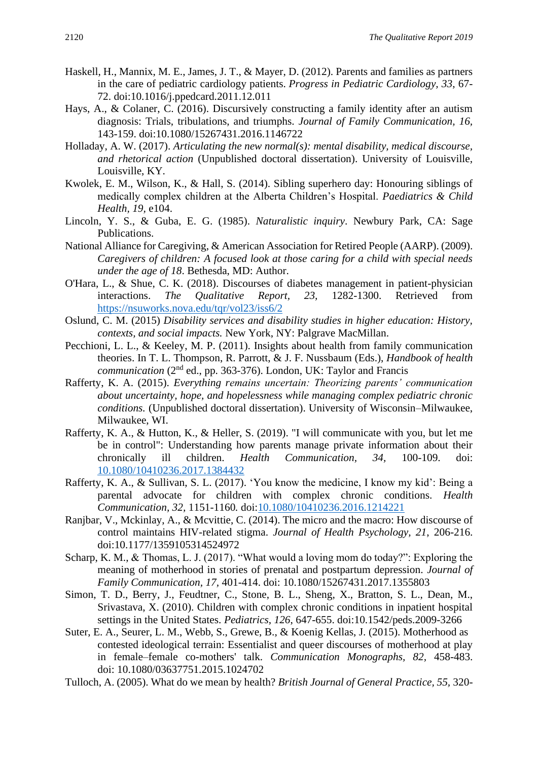- Haskell, H., Mannix, M. E., James, J. T., & Mayer, D. (2012). Parents and families as partners in the care of pediatric cardiology patients. *Progress in Pediatric Cardiology, 33*, 67- 72. doi:10.1016/j.ppedcard.2011.12.011
- Hays, A., & Colaner, C. (2016). Discursively constructing a family identity after an autism diagnosis: Trials, tribulations, and triumphs. *Journal of Family Communication, 16,* 143-159. doi:10.1080/15267431.2016.1146722
- Holladay, A. W. (2017). *Articulating the new normal(s): mental disability, medical discourse, and rhetorical action* (Unpublished doctoral dissertation). University of Louisville, Louisville, KY.
- Kwolek, E. M., Wilson, K., & Hall, S. (2014). Sibling superhero day: Honouring siblings of medically complex children at the Alberta Children's Hospital. *Paediatrics & Child Health, 19,* e104.
- Lincoln, Y. S., & Guba, E. G. (1985). *Naturalistic inquiry*. Newbury Park, CA: Sage Publications.
- National Alliance for Caregiving, & American Association for Retired People (AARP). (2009). *Caregivers of children: A focused look at those caring for a child with special needs under the age of 18*. Bethesda, MD: Author.
- O'Hara, L., & Shue, C. K. (2018). Discourses of diabetes management in patient-physician interactions. *The Qualitative Report, 23,* 1282-1300. Retrieved from <https://nsuworks.nova.edu/tqr/vol23/iss6/2>
- Oslund, C. M. (2015) *Disability services and disability studies in higher education: History, contexts, and social impacts.* New York, NY: Palgrave MacMillan.
- Pecchioni, L. L., & Keeley, M. P. (2011). Insights about health from family communication theories. In T. L. Thompson, R. Parrott, & J. F. Nussbaum (Eds.), *Handbook of health communication* (2nd ed., pp. 363-376). London, UK: Taylor and Francis
- Rafferty, K. A. (2015). *Everything remains uncertain: Theorizing parents' communication about uncertainty, hope, and hopelessness while managing complex pediatric chronic conditions.* (Unpublished doctoral dissertation). University of Wisconsin–Milwaukee, Milwaukee, WI.
- Rafferty, K. A., & Hutton, K., & Heller, S. (2019). "I will communicate with you, but let me be in control": Understanding how parents manage private information about their chronically ill children. *Health Communication, 34,* 100-109. doi: [10.1080/10410236.2017.1384432](http://www.tandfonline.com/doi/full/10.1080/10410236.2017.1384432)
- Rafferty, K. A., & Sullivan, S. L. (2017). 'You know the medicine, I know my kid': Being a parental advocate for children with complex chronic conditions. *Health Communication, 32,* 1151-1160*.* doi[:10.1080/10410236.2016.1214221](https://static1.squarespace.com/static/57d761883e00be04a7758c81/t/57e98e2944024327443b4b10/1474924074951/2016.Raffertyetal.ParentalAdvocacy.HealthComm+%281%29.pdf)
- Ranjbar, V., Mckinlay, A., & Mcvittie, C. (2014). The micro and the macro: How discourse of control maintains HIV-related stigma. *Journal of Health Psychology, 21*, 206-216. doi:10.1177/1359105314524972
- Scharp, K. M., & Thomas, L. J. (2017). "What would a loving mom do today?": Exploring the meaning of motherhood in stories of prenatal and postpartum depression. *Journal of Family Communication, 17,* 401-414. doi: 10.1080/15267431.2017.1355803
- Simon, T. D., Berry, J., Feudtner, C., Stone, B. L., Sheng, X., Bratton, S. L., Dean, M., Srivastava, X. (2010). Children with complex chronic conditions in inpatient hospital settings in the United States. *Pediatrics*, *126*, 647-655. doi:10.1542/peds.2009-3266
- Suter, E. A., Seurer, L. M., Webb, S., Grewe, B., & Koenig Kellas, J. (2015). Motherhood as contested ideological terrain: Essentialist and queer discourses of motherhood at play in female–female co-mothers' talk. *Communication Monographs, 82,* 458-483. doi: 10.1080/03637751.2015.1024702
- Tulloch, A. (2005). What do we mean by health? *British Journal of General Practice, 55,* 320-